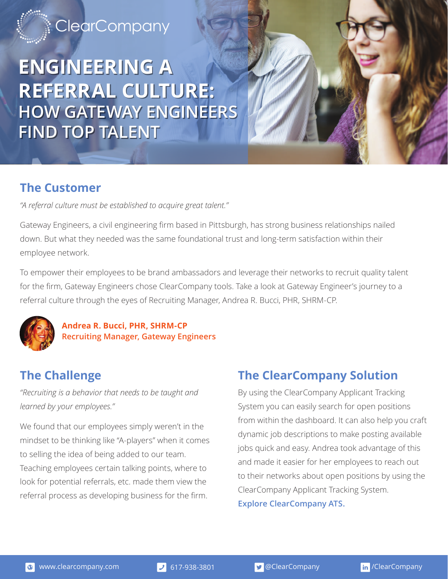## **[ClearCompany](http://info.clearcompany.com/)**

# **ENGINEERING A ENGINEERING A REFERRAL CULTURE: REFERRAL CULTURE: HOW GATEWAY ENGINEERS HOW GATEWAY ENGINEERS FIND TOP TALENT FIND TOP TALENT**

#### **The Customer**

*"A referral culture must be established to acquire great talent."* 

Gateway Engineers, a civil engineering firm based in Pittsburgh, has strong business relationships nailed down. But what they needed was the same foundational trust and long-term satisfaction within their employee network.

To empower their employees to be brand ambassadors and leverage their networks to recruit quality talent for the firm, Gateway Engineers chose ClearCompany tools. Take a look at Gateway Engineer's journey to a referral culture through the eyes of Recruiting Manager, Andrea R. Bucci, PHR, SHRM-CP.



#### **Andrea R. Bucci, PHR, SHRM-CP Recruiting Manager, Gateway Engineers**

### **The Challenge**

*"Recruiting is a behavior that needs to be taught and learned by your employees."*

We found that our employees simply weren't in the mindset to be thinking like "A-players" when it comes to selling the idea of being added to our team. Teaching employees certain talking points, where to look for potential referrals, etc. made them view the referral process as developing business for the firm.

### **The ClearCompany Solution**

By using the ClearCompany Applicant Tracking System you can easily search for open positions from within the dashboard. It can also help you craft dynamic job descriptions to make posting available jobs quick and easy. Andrea took advantage of this and made it easier for her employees to reach out to their networks about open positions by using the ClearCompany Applicant Tracking System.

**[Explore ClearCompany ATS.](http://info.clearcompany.com/applicant-tracking-system)**